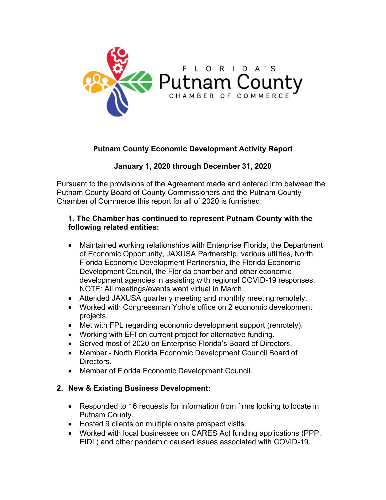

## **Putnam County Economic Development Activity Report**

## **January 1, 2020 through December 31, 2020**

Pursuant to the provisions of the Agreement made and entered into between the Putnam County Board of County Commissioners and the Putnam County Chamber of Commerce this report for all of 2020 is furnished:

#### **1. The Chamber has continued to represent Putnam County with the following related entities:**

- Maintained working relationships with Enterprise Florida, the Department of Economic Opportunity, JAXUSA Partnership, various utilities, North Florida Economic Development Partnership, the Florida Economic Development Council, the Florida chamber and other economic development agencies in assisting with regional COVID-19 responses. NOTE: All meetings/events went virtual in March.
- Attended JAXUSA quarterly meeting and monthly meeting remotely.
- Worked with Congressman Yoho's office on 2 economic development projects.
- Met with FPL regarding economic development support (remotely).
- Working with EFI on current project for alternative funding.
- Served most of 2020 on Enterprise Florida's Board of Directors.
- Member North Florida Economic Development Council Board of Directors.
- Member of Florida Economic Development Council.

#### **2. New & Existing Business Development:**

- Responded to 16 requests for information from firms looking to locate in Putnam County.
- Hosted 9 clients on multiple onsite prospect visits.
- Worked with local businesses on CARES Act funding applications (PPP, EIDL) and other pandemic caused issues associated with COVID-19.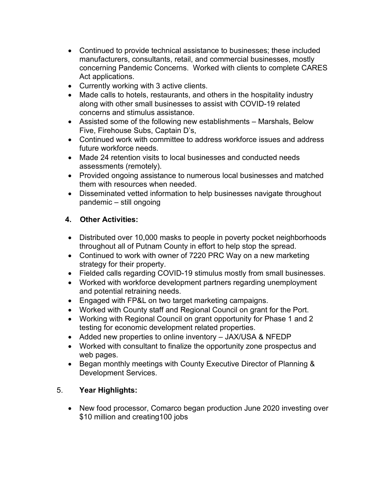- Continued to provide technical assistance to businesses; these included manufacturers, consultants, retail, and commercial businesses, mostly concerning Pandemic Concerns. Worked with clients to complete CARES Act applications.
- Currently working with 3 active clients.
- Made calls to hotels, restaurants, and others in the hospitality industry along with other small businesses to assist with COVID-19 related concerns and stimulus assistance.
- Assisted some of the following new establishments Marshals, Below Five, Firehouse Subs, Captain D's,
- Continued work with committee to address workforce issues and address future workforce needs.
- Made 24 retention visits to local businesses and conducted needs assessments (remotely).
- Provided ongoing assistance to numerous local businesses and matched them with resources when needed.
- Disseminated vetted information to help businesses navigate throughout pandemic – still ongoing

## **4. Other Activities:**

- Distributed over 10,000 masks to people in poverty pocket neighborhoods throughout all of Putnam County in effort to help stop the spread.
- Continued to work with owner of 7220 PRC Way on a new marketing strategy for their property.
- Fielded calls regarding COVID-19 stimulus mostly from small businesses.
- Worked with workforce development partners regarding unemployment and potential retraining needs.
- Engaged with FP&L on two target marketing campaigns.
- Worked with County staff and Regional Council on grant for the Port.
- Working with Regional Council on grant opportunity for Phase 1 and 2 testing for economic development related properties.
- Added new properties to online inventory JAX/USA & NFEDP
- Worked with consultant to finalize the opportunity zone prospectus and web pages.
- Began monthly meetings with County Executive Director of Planning & Development Services.

## 5. **Year Highlights:**

• New food processor, Comarco began production June 2020 investing over \$10 million and creating100 jobs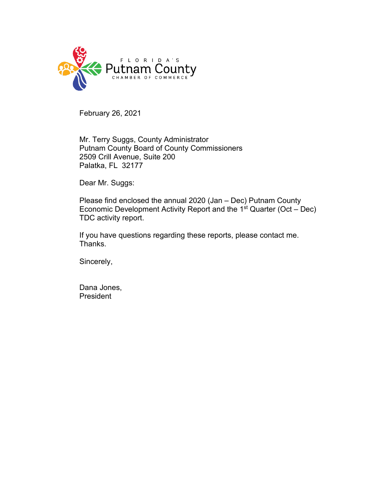

February 26, 2021

Mr. Terry Suggs, County Administrator Putnam County Board of County Commissioners 2509 Crill Avenue, Suite 200 Palatka, FL 32177

Dear Mr. Suggs:

Please find enclosed the annual 2020 (Jan – Dec) Putnam County Economic Development Activity Report and the  $1<sup>st</sup>$  Quarter (Oct – Dec) TDC activity report.

If you have questions regarding these reports, please contact me. Thanks.

Sincerely,

Dana Jones, **President**